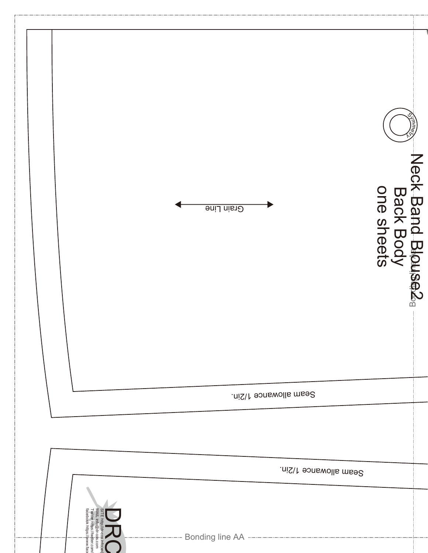|                                                                                                                   | Grain Line            | Neck Band Blouse2 <sub>8</sub><br>Back Body<br>one sheets |  |
|-------------------------------------------------------------------------------------------------------------------|-----------------------|-----------------------------------------------------------|--|
|                                                                                                                   | Seam allowance 1/2in. |                                                           |  |
|                                                                                                                   |                       |                                                           |  |
|                                                                                                                   | Seam allowance 1/2in. |                                                           |  |
| SITE http://dr-cos.info(en)<br>MAIL info@dr-cos.com<br>Twitter https://twitter.com/<br>facebook https://jwww.face |                       |                                                           |  |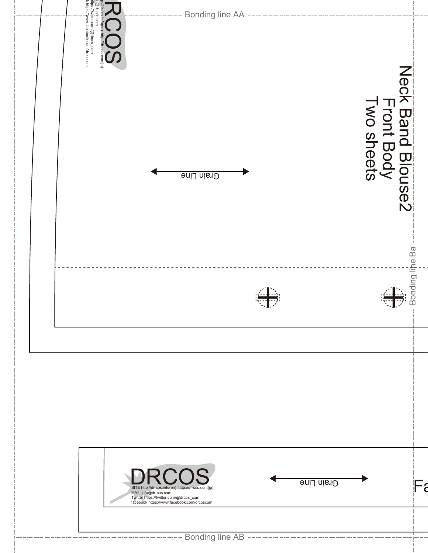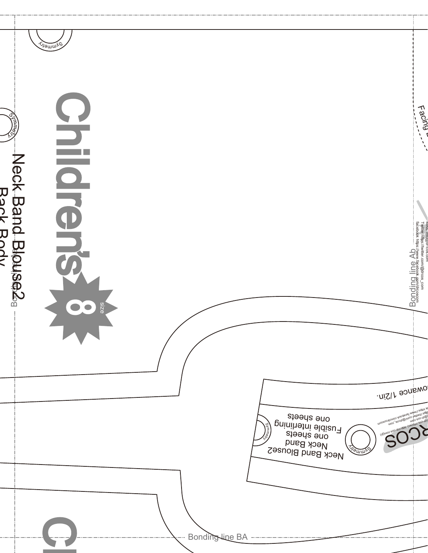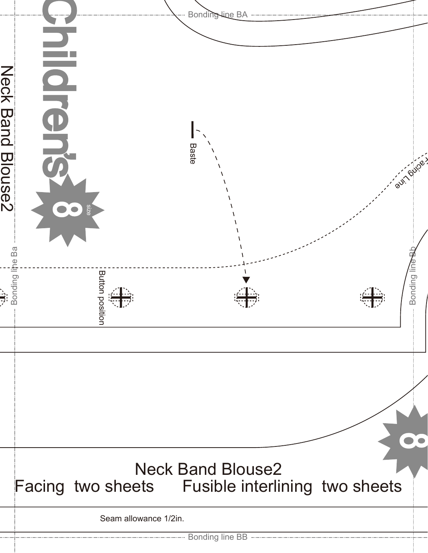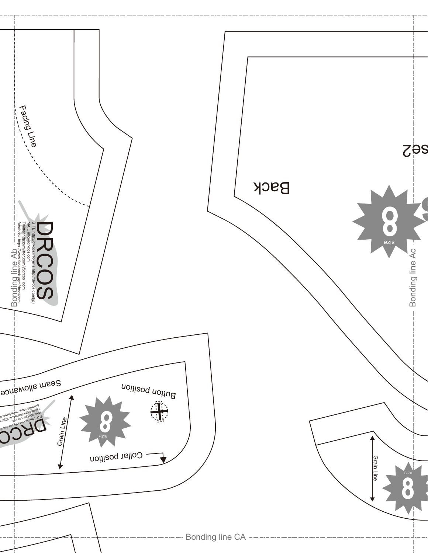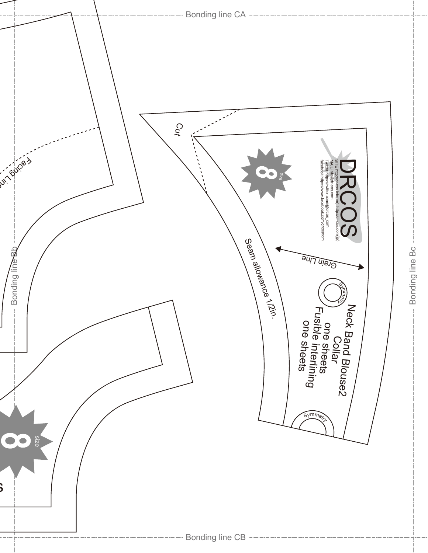